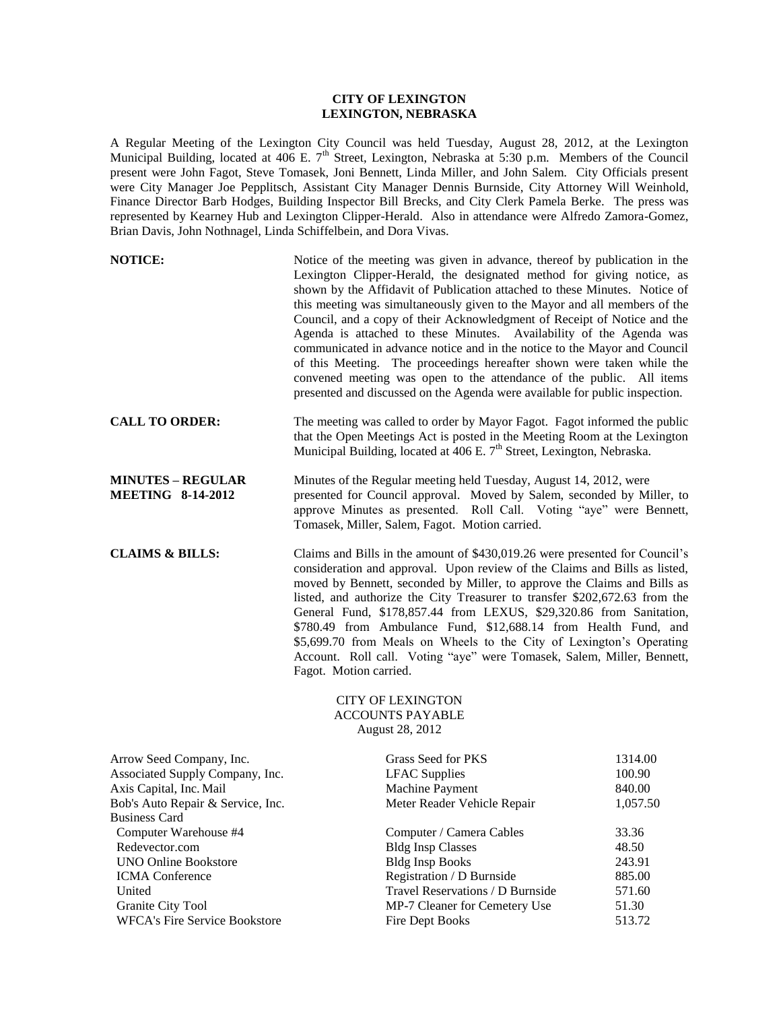## **CITY OF LEXINGTON LEXINGTON, NEBRASKA**

A Regular Meeting of the Lexington City Council was held Tuesday, August 28, 2012, at the Lexington Municipal Building, located at  $406$  E.  $7<sup>th</sup>$  Street, Lexington, Nebraska at 5:30 p.m. Members of the Council present were John Fagot, Steve Tomasek, Joni Bennett, Linda Miller, and John Salem. City Officials present were City Manager Joe Pepplitsch, Assistant City Manager Dennis Burnside, City Attorney Will Weinhold, Finance Director Barb Hodges, Building Inspector Bill Brecks, and City Clerk Pamela Berke. The press was represented by Kearney Hub and Lexington Clipper-Herald. Also in attendance were Alfredo Zamora-Gomez, Brian Davis, John Nothnagel, Linda Schiffelbein, and Dora Vivas.

| <b>NOTICE:</b>                                                                                                                               | Notice of the meeting was given in advance, thereof by publication in the<br>Lexington Clipper-Herald, the designated method for giving notice, as<br>shown by the Affidavit of Publication attached to these Minutes. Notice of<br>this meeting was simultaneously given to the Mayor and all members of the<br>Council, and a copy of their Acknowledgment of Receipt of Notice and the<br>Agenda is attached to these Minutes. Availability of the Agenda was<br>communicated in advance notice and in the notice to the Mayor and Council<br>of this Meeting. The proceedings hereafter shown were taken while the<br>convened meeting was open to the attendance of the public. All items<br>presented and discussed on the Agenda were available for public inspection. |                                         |
|----------------------------------------------------------------------------------------------------------------------------------------------|-------------------------------------------------------------------------------------------------------------------------------------------------------------------------------------------------------------------------------------------------------------------------------------------------------------------------------------------------------------------------------------------------------------------------------------------------------------------------------------------------------------------------------------------------------------------------------------------------------------------------------------------------------------------------------------------------------------------------------------------------------------------------------|-----------------------------------------|
| <b>CALL TO ORDER:</b>                                                                                                                        | The meeting was called to order by Mayor Fagot. Fagot informed the public<br>that the Open Meetings Act is posted in the Meeting Room at the Lexington<br>Municipal Building, located at 406 E. 7 <sup>th</sup> Street, Lexington, Nebraska.                                                                                                                                                                                                                                                                                                                                                                                                                                                                                                                                  |                                         |
| <b>MINUTES - REGULAR</b><br><b>MEETING 8-14-2012</b>                                                                                         | Minutes of the Regular meeting held Tuesday, August 14, 2012, were<br>presented for Council approval. Moved by Salem, seconded by Miller, to<br>approve Minutes as presented. Roll Call. Voting "aye" were Bennett,<br>Tomasek, Miller, Salem, Fagot. Motion carried.                                                                                                                                                                                                                                                                                                                                                                                                                                                                                                         |                                         |
| <b>CLAIMS &amp; BILLS:</b>                                                                                                                   | Claims and Bills in the amount of \$430,019.26 were presented for Council's<br>consideration and approval. Upon review of the Claims and Bills as listed,<br>moved by Bennett, seconded by Miller, to approve the Claims and Bills as<br>listed, and authorize the City Treasurer to transfer \$202,672.63 from the<br>General Fund, \$178,857.44 from LEXUS, \$29,320.86 from Sanitation,<br>\$780.49 from Ambulance Fund, \$12,688.14 from Health Fund, and<br>\$5,699.70 from Meals on Wheels to the City of Lexington's Operating<br>Account. Roll call. Voting "aye" were Tomasek, Salem, Miller, Bennett,<br>Fagot. Motion carried.                                                                                                                                     |                                         |
|                                                                                                                                              | <b>CITY OF LEXINGTON</b><br><b>ACCOUNTS PAYABLE</b><br>August 28, 2012                                                                                                                                                                                                                                                                                                                                                                                                                                                                                                                                                                                                                                                                                                        |                                         |
| Arrow Seed Company, Inc.<br>Associated Supply Company, Inc.<br>Axis Capital, Inc. Mail<br>Bob's Auto Repair & Service, Inc.<br>Rusiness Card | Grass Seed for PKS<br><b>LFAC</b> Supplies<br>Machine Payment<br>Meter Reader Vehicle Repair                                                                                                                                                                                                                                                                                                                                                                                                                                                                                                                                                                                                                                                                                  | 1314.00<br>100.90<br>840.00<br>1,057.50 |

| Bob's Auto Repair & Service, Inc.    | Meter Reader Vehicle Repair      | 1,057.50 |
|--------------------------------------|----------------------------------|----------|
| <b>Business Card</b>                 |                                  |          |
| Computer Warehouse #4                | Computer / Camera Cables         | 33.36    |
| Redevector.com                       | <b>Bldg Insp Classes</b>         | 48.50    |
| <b>UNO Online Bookstore</b>          | <b>Bldg Insp Books</b>           | 243.91   |
| <b>ICMA</b> Conference               | Registration / D Burnside        | 885.00   |
| United                               | Travel Reservations / D Burnside | 571.60   |
| Granite City Tool                    | MP-7 Cleaner for Cemetery Use    | 51.30    |
| <b>WFCA's Fire Service Bookstore</b> | Fire Dept Books                  | 513.72   |
|                                      |                                  |          |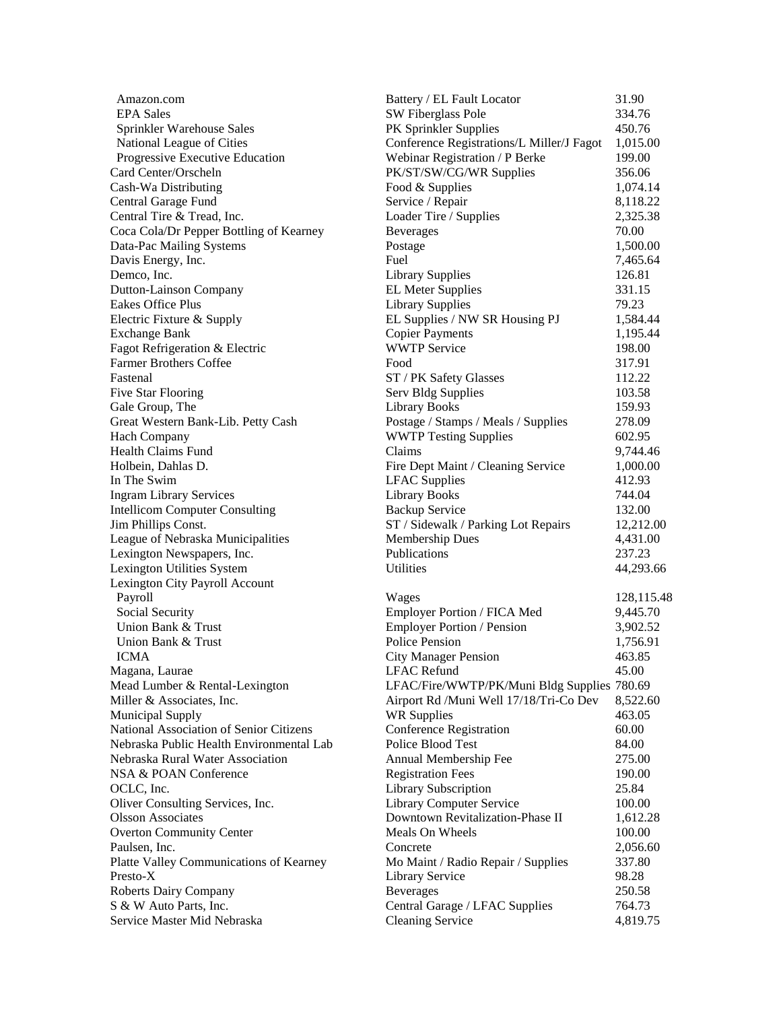| Amazon.com                               | Battery / EL Fault Locator                  | 31.90      |
|------------------------------------------|---------------------------------------------|------------|
| <b>EPA Sales</b>                         | SW Fiberglass Pole                          | 334.76     |
| Sprinkler Warehouse Sales                | PK Sprinkler Supplies                       | 450.76     |
| National League of Cities                | Conference Registrations/L Miller/J Fagot   | 1,015.00   |
| Progressive Executive Education          | Webinar Registration / P Berke              | 199.00     |
| Card Center/Orscheln                     | PK/ST/SW/CG/WR Supplies                     | 356.06     |
| Cash-Wa Distributing                     | Food & Supplies                             | 1,074.14   |
| Central Garage Fund                      | Service / Repair                            | 8,118.22   |
| Central Tire & Tread, Inc.               | Loader Tire / Supplies                      | 2,325.38   |
| Coca Cola/Dr Pepper Bottling of Kearney  | <b>Beverages</b>                            | 70.00      |
| Data-Pac Mailing Systems                 | Postage                                     | 1,500.00   |
| Davis Energy, Inc.                       | Fuel                                        | 7,465.64   |
| Demco, Inc.                              | <b>Library Supplies</b>                     | 126.81     |
| Dutton-Lainson Company                   | <b>EL Meter Supplies</b>                    | 331.15     |
| Eakes Office Plus                        | <b>Library Supplies</b>                     | 79.23      |
| Electric Fixture & Supply                | EL Supplies / NW SR Housing PJ              | 1,584.44   |
| <b>Exchange Bank</b>                     | <b>Copier Payments</b>                      | 1,195.44   |
| Fagot Refrigeration & Electric           | <b>WWTP Service</b>                         | 198.00     |
| <b>Farmer Brothers Coffee</b>            | Food                                        | 317.91     |
| Fastenal                                 | ST / PK Safety Glasses                      | 112.22     |
| <b>Five Star Flooring</b>                | Serv Bldg Supplies                          | 103.58     |
| Gale Group, The                          | <b>Library Books</b>                        | 159.93     |
| Great Western Bank-Lib. Petty Cash       | Postage / Stamps / Meals / Supplies         | 278.09     |
| <b>Hach Company</b>                      | <b>WWTP Testing Supplies</b>                | 602.95     |
| <b>Health Claims Fund</b>                | Claims                                      | 9,744.46   |
| Holbein, Dahlas D.                       | Fire Dept Maint / Cleaning Service          | 1,000.00   |
| In The Swim                              | <b>LFAC</b> Supplies                        | 412.93     |
| <b>Ingram Library Services</b>           | <b>Library Books</b>                        | 744.04     |
| <b>Intellicom Computer Consulting</b>    | <b>Backup Service</b>                       | 132.00     |
| Jim Phillips Const.                      | ST / Sidewalk / Parking Lot Repairs         | 12,212.00  |
| League of Nebraska Municipalities        | <b>Membership Dues</b>                      | 4,431.00   |
| Lexington Newspapers, Inc.               | Publications                                | 237.23     |
| Lexington Utilities System               | Utilities                                   | 44,293.66  |
| Lexington City Payroll Account           |                                             |            |
| Payroll                                  | Wages                                       | 128,115.48 |
| Social Security                          | Employer Portion / FICA Med                 | 9,445.70   |
| Union Bank & Trust                       | <b>Employer Portion / Pension</b>           | 3,902.52   |
| Union Bank & Trust                       | <b>Police Pension</b>                       | 1,756.91   |
| <b>ICMA</b>                              | <b>City Manager Pension</b>                 | 463.85     |
| Magana, Laurae                           | <b>LFAC</b> Refund                          | 45.00      |
| Mead Lumber & Rental-Lexington           | LFAC/Fire/WWTP/PK/Muni Bldg Supplies 780.69 |            |
| Miller & Associates, Inc.                | Airport Rd /Muni Well 17/18/Tri-Co Dev      | 8,522.60   |
| Municipal Supply                         | <b>WR Supplies</b>                          | 463.05     |
| National Association of Senior Citizens  | Conference Registration                     | 60.00      |
| Nebraska Public Health Environmental Lab | Police Blood Test                           | 84.00      |
| Nebraska Rural Water Association         | Annual Membership Fee                       | 275.00     |
| NSA & POAN Conference                    | <b>Registration Fees</b>                    | 190.00     |
| OCLC, Inc.                               | Library Subscription                        | 25.84      |
| Oliver Consulting Services, Inc.         | <b>Library Computer Service</b>             | 100.00     |
| <b>Olsson Associates</b>                 | Downtown Revitalization-Phase II            | 1,612.28   |
| <b>Overton Community Center</b>          | Meals On Wheels                             | 100.00     |
| Paulsen, Inc.                            | Concrete                                    | 2,056.60   |
| Platte Valley Communications of Kearney  | Mo Maint / Radio Repair / Supplies          | 337.80     |
| Presto-X                                 | <b>Library Service</b>                      | 98.28      |
| <b>Roberts Dairy Company</b>             | <b>Beverages</b>                            | 250.58     |
| S & W Auto Parts, Inc.                   | Central Garage / LFAC Supplies              | 764.73     |
| Service Master Mid Nebraska              | <b>Cleaning Service</b>                     | 4,819.75   |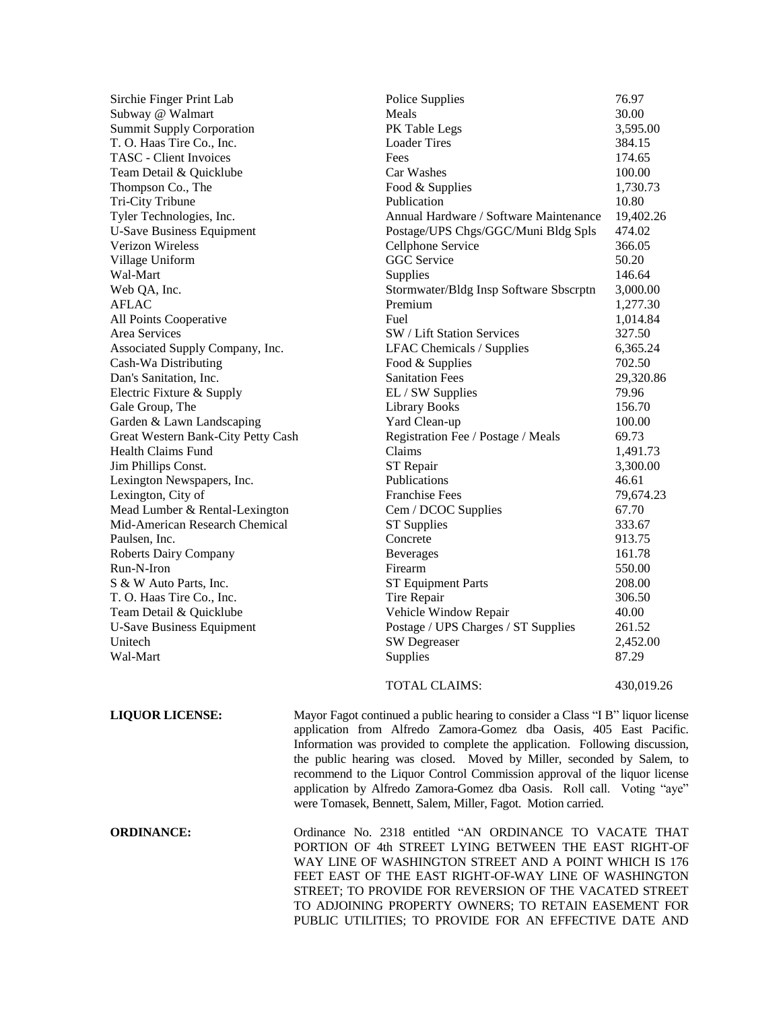| Sirchie Finger Print Lab           | Police Supplies                        | 76.97      |
|------------------------------------|----------------------------------------|------------|
| Subway @ Walmart                   | Meals                                  | 30.00      |
| <b>Summit Supply Corporation</b>   | PK Table Legs                          | 3,595.00   |
| T. O. Haas Tire Co., Inc.          | <b>Loader Tires</b>                    | 384.15     |
| <b>TASC</b> - Client Invoices      | Fees                                   | 174.65     |
| Team Detail & Quicklube            | Car Washes                             | 100.00     |
| Thompson Co., The                  | Food & Supplies                        | 1,730.73   |
| Tri-City Tribune                   | Publication                            | 10.80      |
| Tyler Technologies, Inc.           | Annual Hardware / Software Maintenance | 19,402.26  |
| <b>U-Save Business Equipment</b>   | Postage/UPS Chgs/GGC/Muni Bldg Spls    | 474.02     |
| Verizon Wireless                   | Cellphone Service                      | 366.05     |
| Village Uniform                    | <b>GGC</b> Service                     | 50.20      |
| Wal-Mart                           | Supplies                               | 146.64     |
| Web QA, Inc.                       | Stormwater/Bldg Insp Software Sbscrptn | 3,000.00   |
| AFLAC                              | Premium                                | 1,277.30   |
| All Points Cooperative             | Fuel                                   | 1,014.84   |
| Area Services                      | SW / Lift Station Services             | 327.50     |
| Associated Supply Company, Inc.    | <b>LFAC Chemicals / Supplies</b>       | 6,365.24   |
| Cash-Wa Distributing               | Food & Supplies                        | 702.50     |
| Dan's Sanitation, Inc.             | <b>Sanitation Fees</b>                 | 29,320.86  |
| Electric Fixture & Supply          | EL / SW Supplies                       | 79.96      |
| Gale Group, The                    | <b>Library Books</b>                   | 156.70     |
| Garden & Lawn Landscaping          | Yard Clean-up                          | 100.00     |
| Great Western Bank-City Petty Cash | Registration Fee / Postage / Meals     | 69.73      |
| <b>Health Claims Fund</b>          | Claims                                 | 1,491.73   |
| Jim Phillips Const.                | ST Repair                              | 3,300.00   |
| Lexington Newspapers, Inc.         | Publications                           | 46.61      |
| Lexington, City of                 | <b>Franchise Fees</b>                  | 79,674.23  |
| Mead Lumber & Rental-Lexington     | Cem / DCOC Supplies                    | 67.70      |
| Mid-American Research Chemical     | <b>ST Supplies</b>                     | 333.67     |
| Paulsen, Inc.                      | Concrete                               | 913.75     |
| Roberts Dairy Company              | <b>Beverages</b>                       | 161.78     |
| Run-N-Iron                         | Firearm                                | 550.00     |
| S & W Auto Parts, Inc.             | <b>ST Equipment Parts</b>              | 208.00     |
| T. O. Haas Tire Co., Inc.          | Tire Repair                            | 306.50     |
| Team Detail & Quicklube            | Vehicle Window Repair                  | 40.00      |
| <b>U-Save Business Equipment</b>   | Postage / UPS Charges / ST Supplies    | 261.52     |
| Unitech                            | <b>SW</b> Degreaser                    | 2,452.00   |
| Wal-Mart                           | Supplies                               | 87.29      |
|                                    | <b>TOTAL CLAIMS:</b>                   | 430,019.26 |
|                                    |                                        |            |

**LIQUOR LICENSE:** Mayor Fagot continued a public hearing to consider a Class "I B" liquor license application from Alfredo Zamora-Gomez dba Oasis, 405 East Pacific. Information was provided to complete the application. Following discussion, the public hearing was closed. Moved by Miller, seconded by Salem, to recommend to the Liquor Control Commission approval of the liquor license application by Alfredo Zamora-Gomez dba Oasis. Roll call. Voting "aye" were Tomasek, Bennett, Salem, Miller, Fagot. Motion carried.

**ORDINANCE:** Ordinance No. 2318 entitled "AN ORDINANCE TO VACATE THAT PORTION OF 4th STREET LYING BETWEEN THE EAST RIGHT-OF WAY LINE OF WASHINGTON STREET AND A POINT WHICH IS 176 FEET EAST OF THE EAST RIGHT-OF-WAY LINE OF WASHINGTON STREET; TO PROVIDE FOR REVERSION OF THE VACATED STREET TO ADJOINING PROPERTY OWNERS; TO RETAIN EASEMENT FOR PUBLIC UTILITIES; TO PROVIDE FOR AN EFFECTIVE DATE AND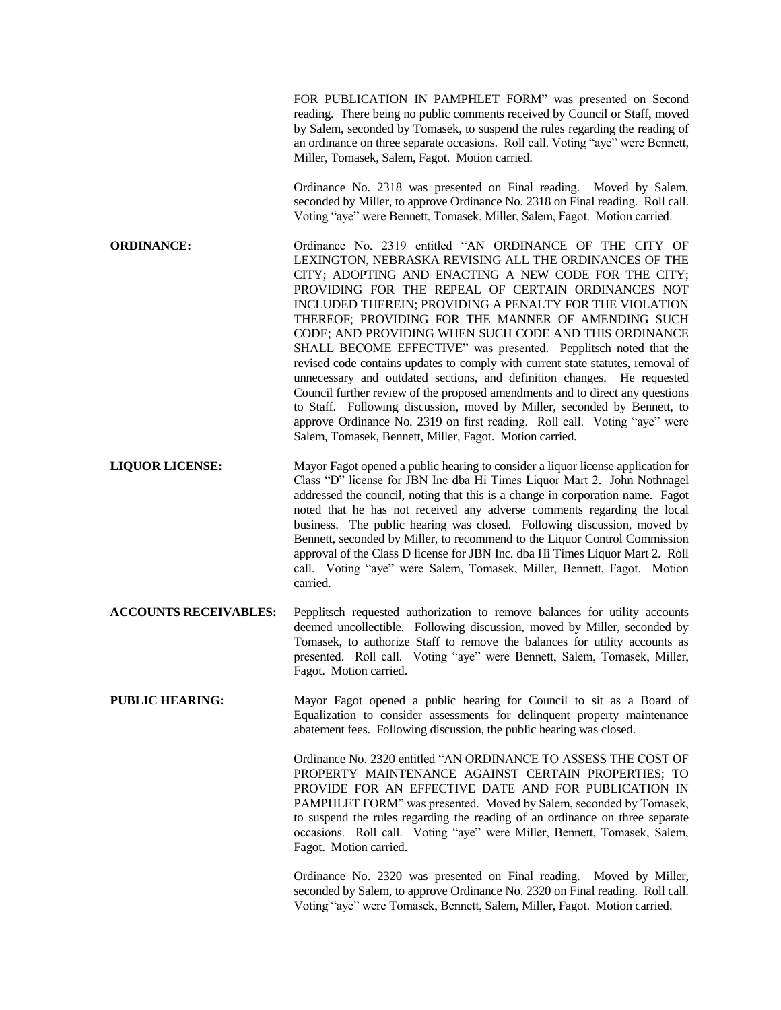FOR PUBLICATION IN PAMPHLET FORM" was presented on Second reading. There being no public comments received by Council or Staff, moved by Salem, seconded by Tomasek, to suspend the rules regarding the reading of an ordinance on three separate occasions. Roll call. Voting "aye" were Bennett, Miller, Tomasek, Salem, Fagot. Motion carried. Ordinance No. 2318 was presented on Final reading. Moved by Salem, seconded by Miller, to approve Ordinance No. 2318 on Final reading. Roll call. Voting "aye" were Bennett, Tomasek, Miller, Salem, Fagot. Motion carried. **ORDINANCE:** Ordinance No. 2319 entitled "AN ORDINANCE OF THE CITY OF LEXINGTON, NEBRASKA REVISING ALL THE ORDINANCES OF THE CITY; ADOPTING AND ENACTING A NEW CODE FOR THE CITY; PROVIDING FOR THE REPEAL OF CERTAIN ORDINANCES NOT INCLUDED THEREIN; PROVIDING A PENALTY FOR THE VIOLATION THEREOF; PROVIDING FOR THE MANNER OF AMENDING SUCH CODE; AND PROVIDING WHEN SUCH CODE AND THIS ORDINANCE SHALL BECOME EFFECTIVE" was presented. Pepplitsch noted that the revised code contains updates to comply with current state statutes, removal of unnecessary and outdated sections, and definition changes. He requested Council further review of the proposed amendments and to direct any questions to Staff. Following discussion, moved by Miller, seconded by Bennett, to approve Ordinance No. 2319 on first reading. Roll call. Voting "aye" were Salem, Tomasek, Bennett, Miller, Fagot. Motion carried. **LIQUOR LICENSE:** Mayor Fagot opened a public hearing to consider a liquor license application for Class "D" license for JBN Inc dba Hi Times Liquor Mart 2. John Nothnagel addressed the council, noting that this is a change in corporation name. Fagot noted that he has not received any adverse comments regarding the local business. The public hearing was closed. Following discussion, moved by Bennett, seconded by Miller, to recommend to the Liquor Control Commission approval of the Class D license for JBN Inc. dba Hi Times Liquor Mart 2. Roll call. Voting "aye" were Salem, Tomasek, Miller, Bennett, Fagot. Motion carried. **ACCOUNTS RECEIVABLES:** Pepplitsch requested authorization to remove balances for utility accounts deemed uncollectible. Following discussion, moved by Miller, seconded by Tomasek, to authorize Staff to remove the balances for utility accounts as presented. Roll call. Voting "aye" were Bennett, Salem, Tomasek, Miller, Fagot. Motion carried. **PUBLIC HEARING:** Mayor Fagot opened a public hearing for Council to sit as a Board of Equalization to consider assessments for delinquent property maintenance abatement fees. Following discussion, the public hearing was closed. Ordinance No. 2320 entitled "AN ORDINANCE TO ASSESS THE COST OF PROPERTY MAINTENANCE AGAINST CERTAIN PROPERTIES; TO PROVIDE FOR AN EFFECTIVE DATE AND FOR PUBLICATION IN PAMPHLET FORM" was presented. Moved by Salem, seconded by Tomasek, to suspend the rules regarding the reading of an ordinance on three separate occasions. Roll call. Voting "aye" were Miller, Bennett, Tomasek, Salem,

Fagot. Motion carried.

Ordinance No. 2320 was presented on Final reading. Moved by Miller, seconded by Salem, to approve Ordinance No. 2320 on Final reading. Roll call. Voting "aye" were Tomasek, Bennett, Salem, Miller, Fagot. Motion carried.